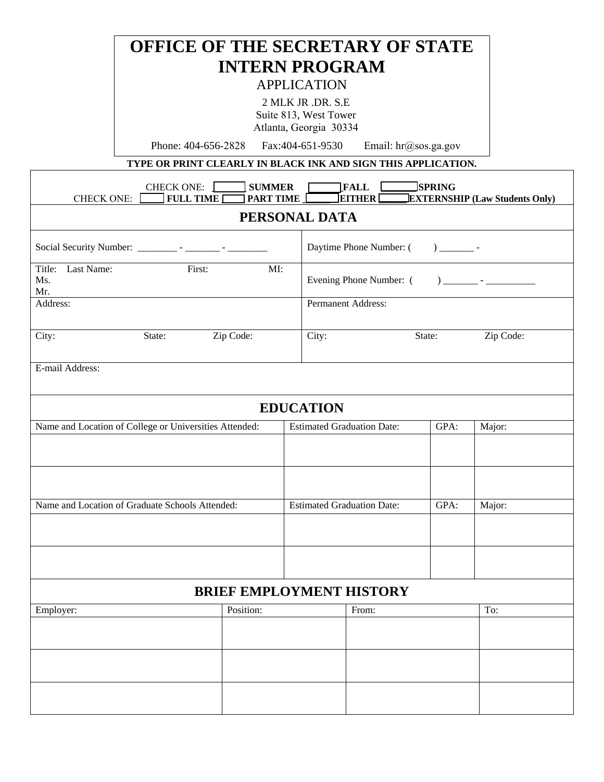## **OFFICE OF THE SECRETARY OF STATE INTERN PROGRAM**  APPLICATION 2 MLK JR .DR. S.E Suite 813, West Tower Atlanta, Georgia 30334 Phone: 404-656-2828 Fax:404-651-9530 Email: hr@sos.ga.gov **TYPE OR PRINT CLEARLY IN BLACK INK AND SIGN THIS APPLICATION.**  CHECK ONE: **\_\_\_\_\_\_\_ SUMMER \_\_\_\_\_\_\_FALL \_\_\_\_\_\_\_ SPRING**   $\exists$  **EXTERNSHIP** (Law Students Only) **PERSONAL DATA**  Evening Phone Number: ( ) \_\_\_\_\_\_\_ - \_\_\_\_\_\_\_\_\_\_

| 21100111111 DITTI                                      |                                 |                                   |                                                                                                                                                                                                                                                                                                                                                                                |                             |           |  |
|--------------------------------------------------------|---------------------------------|-----------------------------------|--------------------------------------------------------------------------------------------------------------------------------------------------------------------------------------------------------------------------------------------------------------------------------------------------------------------------------------------------------------------------------|-----------------------------|-----------|--|
|                                                        |                                 |                                   | Daytime Phone Number: (<br>$\begin{picture}(20,20) \put(0,0){\line(1,0){10}} \put(15,0){\line(1,0){10}} \put(15,0){\line(1,0){10}} \put(15,0){\line(1,0){10}} \put(15,0){\line(1,0){10}} \put(15,0){\line(1,0){10}} \put(15,0){\line(1,0){10}} \put(15,0){\line(1,0){10}} \put(15,0){\line(1,0){10}} \put(15,0){\line(1,0){10}} \put(15,0){\line(1,0){10}} \put(15,0){\line(1$ |                             |           |  |
| Title: Last Name:<br>First:<br>MI:<br>Ms.<br>Mr.       |                                 |                                   |                                                                                                                                                                                                                                                                                                                                                                                |                             |           |  |
| Address:                                               |                                 |                                   | Permanent Address:                                                                                                                                                                                                                                                                                                                                                             |                             |           |  |
| City:<br>State:                                        | Zip Code:                       | City:                             |                                                                                                                                                                                                                                                                                                                                                                                | $\overline{\text{State}}$ : | Zip Code: |  |
| E-mail Address:                                        |                                 |                                   |                                                                                                                                                                                                                                                                                                                                                                                |                             |           |  |
|                                                        |                                 | <b>EDUCATION</b>                  |                                                                                                                                                                                                                                                                                                                                                                                |                             |           |  |
| Name and Location of College or Universities Attended: |                                 | <b>Estimated Graduation Date:</b> |                                                                                                                                                                                                                                                                                                                                                                                | GPA:                        | Major:    |  |
|                                                        |                                 |                                   |                                                                                                                                                                                                                                                                                                                                                                                |                             |           |  |
|                                                        |                                 |                                   |                                                                                                                                                                                                                                                                                                                                                                                |                             |           |  |
| Name and Location of Graduate Schools Attended:        |                                 |                                   | <b>Estimated Graduation Date:</b><br>GPA:                                                                                                                                                                                                                                                                                                                                      |                             | Major:    |  |
|                                                        |                                 |                                   |                                                                                                                                                                                                                                                                                                                                                                                |                             |           |  |
|                                                        |                                 |                                   |                                                                                                                                                                                                                                                                                                                                                                                |                             |           |  |
|                                                        | <b>BRIEF EMPLOYMENT HISTORY</b> |                                   |                                                                                                                                                                                                                                                                                                                                                                                |                             |           |  |
| Employer:                                              | Position:                       |                                   | From:                                                                                                                                                                                                                                                                                                                                                                          |                             | To:       |  |
|                                                        |                                 |                                   |                                                                                                                                                                                                                                                                                                                                                                                |                             |           |  |
|                                                        |                                 |                                   |                                                                                                                                                                                                                                                                                                                                                                                |                             |           |  |
|                                                        |                                 |                                   |                                                                                                                                                                                                                                                                                                                                                                                |                             |           |  |